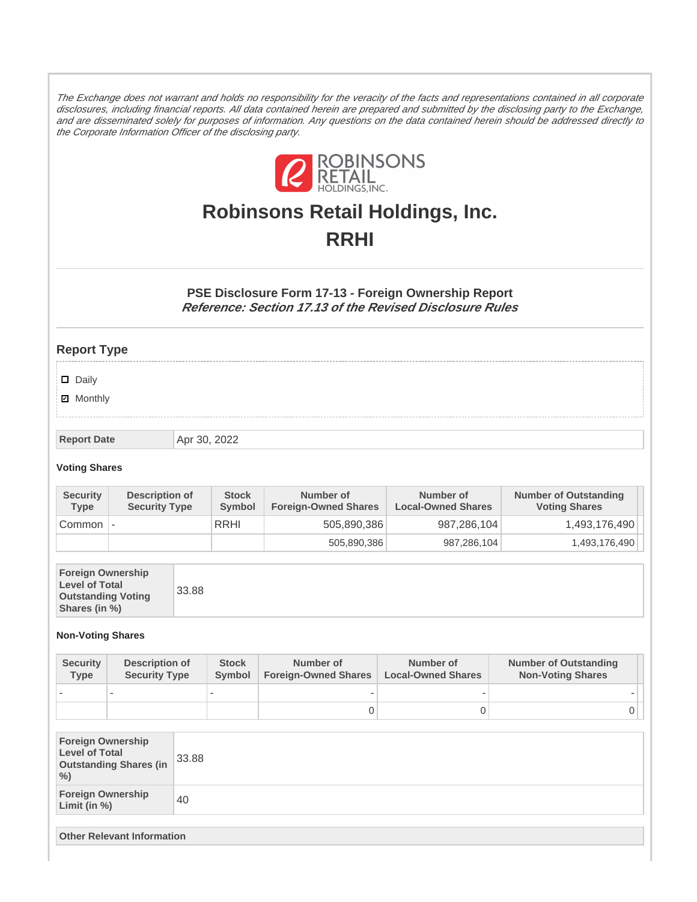The Exchange does not warrant and holds no responsibility for the veracity of the facts and representations contained in all corporate disclosures, including financial reports. All data contained herein are prepared and submitted by the disclosing party to the Exchange, and are disseminated solely for purposes of information. Any questions on the data contained herein should be addressed directly to the Corporate Information Officer of the disclosing party.



## **Robinsons Retail Holdings, Inc. RRHI**

**PSE Disclosure Form 17-13 - Foreign Ownership Report Reference: Section 17.13 of the Revised Disclosure Rules**

## **Report Type**

D Daily

**☑** Monthly

**Report Date Apr 30, 2022** 

## **Voting Shares**

| <b>Security</b><br><b>Type</b> | Description of<br><b>Security Type</b> | <b>Stock</b><br><b>Symbol</b> | Number of<br><b>Foreign-Owned Shares</b> | Number of<br><b>Local-Owned Shares</b> | <b>Number of Outstanding</b><br><b>Voting Shares</b> |
|--------------------------------|----------------------------------------|-------------------------------|------------------------------------------|----------------------------------------|------------------------------------------------------|
| Common                         |                                        | RRHI                          | 505,890,386                              | 987,286,104                            | 1,493,176,490                                        |
|                                |                                        |                               | 505,890,386                              | 987,286,104                            | 1,493,176,490                                        |

|--|--|

## **Non-Voting Shares**

| <b>Security</b><br><b>Type</b>                                                             | <b>Description of</b><br><b>Security Type</b> |       | <b>Stock</b><br>Symbol | Number of<br><b>Foreign-Owned Shares</b> | Number of<br><b>Local-Owned Shares</b> | <b>Number of Outstanding</b><br><b>Non-Voting Shares</b> |  |
|--------------------------------------------------------------------------------------------|-----------------------------------------------|-------|------------------------|------------------------------------------|----------------------------------------|----------------------------------------------------------|--|
|                                                                                            |                                               |       |                        |                                          |                                        |                                                          |  |
|                                                                                            |                                               |       |                        | 0                                        | 0                                      | 0                                                        |  |
| <b>Foreign Ownership</b><br><b>Level of Total</b><br><b>Outstanding Shares (in</b><br>$\%$ |                                               | 33.88 |                        |                                          |                                        |                                                          |  |
| <b>Foreign Ownership</b><br>Limit (in $%$ )                                                |                                               | 40    |                        |                                          |                                        |                                                          |  |
|                                                                                            |                                               |       |                        |                                          |                                        |                                                          |  |

**Other Relevant Information**